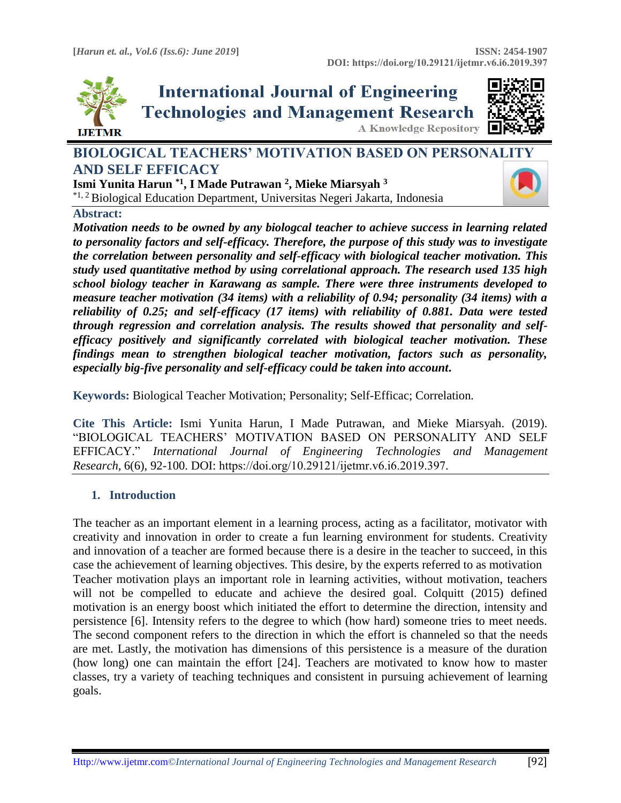

# **International Journal of Engineering Technologies and Management Research A Knowledge Repository**



# **BIOLOGICAL TEACHERS' MOTIVATION BASED ON PERSONA[LITY](https://crossmark.crossref.org/dialog/?doi=10.29121/ijetmr.v6.i6.2019.397&domain=pdf&date_stamp=2019-06-30)  AND SELF EFFICACY**

**Ismi Yunita Harun \*1, I Made Putrawan <sup>2</sup> , Mieke Miarsyah <sup>3</sup>** \*1, 2 Biological Education Department, Universitas Negeri Jakarta, Indonesia

## **Abstract:**

*Motivation needs to be owned by any biologcal teacher to achieve success in learning related to personality factors and self-efficacy. Therefore, the purpose of this study was to investigate the correlation between personality and self-efficacy with biological teacher motivation. This study used quantitative method by using correlational approach. The research used 135 high school biology teacher in Karawang as sample. There were three instruments developed to measure teacher motivation (34 items) with a reliability of 0.94; personality (34 items) with a reliability of 0.25; and self-efficacy (17 items) with reliability of 0.881. Data were tested through regression and correlation analysis. The results showed that personality and selfefficacy positively and significantly correlated with biological teacher motivation. These findings mean to strengthen biological teacher motivation, factors such as personality, especially big-five personality and self-efficacy could be taken into account***.**

**Keywords:** Biological Teacher Motivation; Personality; Self-Efficac; Correlation*.* 

**Cite This Article:** Ismi Yunita Harun, I Made Putrawan, and Mieke Miarsyah. (2019). "BIOLOGICAL TEACHERS' MOTIVATION BASED ON PERSONALITY AND SELF EFFICACY." *International Journal of Engineering Technologies and Management Research,* 6(6), 92-100. DOI: https://doi.org/10.29121/ijetmr.v6.i6.2019.397.

# **1. Introduction**

The teacher as an important element in a learning process, acting as a facilitator, motivator with creativity and innovation in order to create a fun learning environment for students. Creativity and innovation of a teacher are formed because there is a desire in the teacher to succeed, in this case the achievement of learning objectives. This desire, by the experts referred to as motivation Teacher motivation plays an important role in learning activities, without motivation, teachers will not be compelled to educate and achieve the desired goal. Colquitt (2015) defined motivation is an energy boost which initiated the effort to determine the direction, intensity and persistence [6]. Intensity refers to the degree to which (how hard) someone tries to meet needs. The second component refers to the direction in which the effort is channeled so that the needs are met. Lastly, the motivation has dimensions of this persistence is a measure of the duration (how long) one can maintain the effort [24]. Teachers are motivated to know how to master classes, try a variety of teaching techniques and consistent in pursuing achievement of learning goals.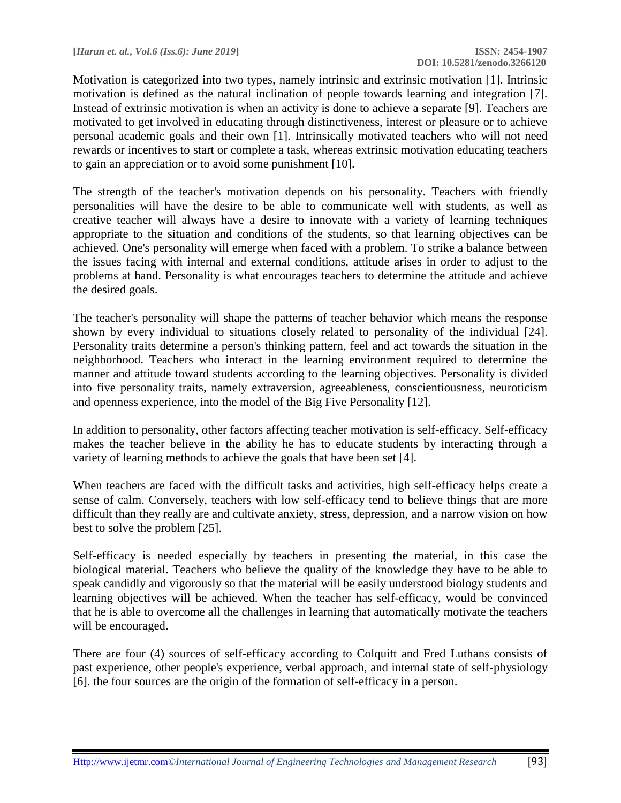Motivation is categorized into two types, namely intrinsic and extrinsic motivation [1]. Intrinsic motivation is defined as the natural inclination of people towards learning and integration [7]. Instead of extrinsic motivation is when an activity is done to achieve a separate [9]. Teachers are motivated to get involved in educating through distinctiveness, interest or pleasure or to achieve personal academic goals and their own [1]. Intrinsically motivated teachers who will not need rewards or incentives to start or complete a task, whereas extrinsic motivation educating teachers to gain an appreciation or to avoid some punishment [10].

The strength of the teacher's motivation depends on his personality. Teachers with friendly personalities will have the desire to be able to communicate well with students, as well as creative teacher will always have a desire to innovate with a variety of learning techniques appropriate to the situation and conditions of the students, so that learning objectives can be achieved. One's personality will emerge when faced with a problem. To strike a balance between the issues facing with internal and external conditions, attitude arises in order to adjust to the problems at hand. Personality is what encourages teachers to determine the attitude and achieve the desired goals.

The teacher's personality will shape the patterns of teacher behavior which means the response shown by every individual to situations closely related to personality of the individual [24]. Personality traits determine a person's thinking pattern, feel and act towards the situation in the neighborhood. Teachers who interact in the learning environment required to determine the manner and attitude toward students according to the learning objectives. Personality is divided into five personality traits, namely extraversion, agreeableness, conscientiousness, neuroticism and openness experience, into the model of the Big Five Personality [12].

In addition to personality, other factors affecting teacher motivation is self-efficacy. Self-efficacy makes the teacher believe in the ability he has to educate students by interacting through a variety of learning methods to achieve the goals that have been set [4].

When teachers are faced with the difficult tasks and activities, high self-efficacy helps create a sense of calm. Conversely, teachers with low self-efficacy tend to believe things that are more difficult than they really are and cultivate anxiety, stress, depression, and a narrow vision on how best to solve the problem [25].

Self-efficacy is needed especially by teachers in presenting the material, in this case the biological material. Teachers who believe the quality of the knowledge they have to be able to speak candidly and vigorously so that the material will be easily understood biology students and learning objectives will be achieved. When the teacher has self-efficacy, would be convinced that he is able to overcome all the challenges in learning that automatically motivate the teachers will be encouraged.

There are four (4) sources of self-efficacy according to Colquitt and Fred Luthans consists of past experience, other people's experience, verbal approach, and internal state of self-physiology [6]. the four sources are the origin of the formation of self-efficacy in a person.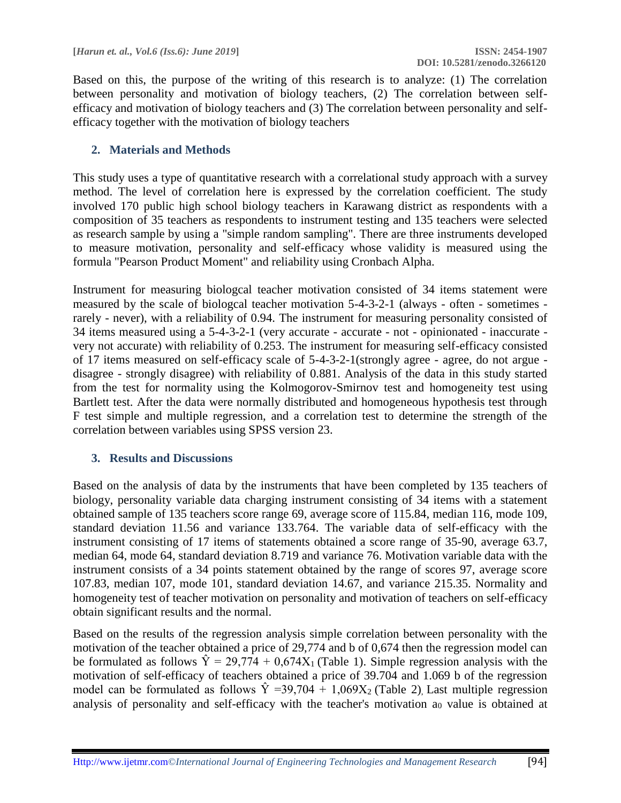Based on this, the purpose of the writing of this research is to analyze: (1) The correlation between personality and motivation of biology teachers, (2) The correlation between selfefficacy and motivation of biology teachers and (3) The correlation between personality and selfefficacy together with the motivation of biology teachers

# **2. Materials and Methods**

This study uses a type of quantitative research with a correlational study approach with a survey method. The level of correlation here is expressed by the correlation coefficient. The study involved 170 public high school biology teachers in Karawang district as respondents with a composition of 35 teachers as respondents to instrument testing and 135 teachers were selected as research sample by using a "simple random sampling". There are three instruments developed to measure motivation, personality and self-efficacy whose validity is measured using the formula "Pearson Product Moment" and reliability using Cronbach Alpha.

Instrument for measuring biologcal teacher motivation consisted of 34 items statement were measured by the scale of biologcal teacher motivation 5-4-3-2-1 (always - often - sometimes rarely - never), with a reliability of 0.94. The instrument for measuring personality consisted of 34 items measured using a 5-4-3-2-1 (very accurate - accurate - not - opinionated - inaccurate very not accurate) with reliability of 0.253. The instrument for measuring self-efficacy consisted of 17 items measured on self-efficacy scale of 5-4-3-2-1(strongly agree - agree, do not argue disagree - strongly disagree) with reliability of 0.881. Analysis of the data in this study started from the test for normality using the Kolmogorov-Smirnov test and homogeneity test using Bartlett test. After the data were normally distributed and homogeneous hypothesis test through F test simple and multiple regression, and a correlation test to determine the strength of the correlation between variables using SPSS version 23.

# **3. Results and Discussions**

Based on the analysis of data by the instruments that have been completed by 135 teachers of biology, personality variable data charging instrument consisting of 34 items with a statement obtained sample of 135 teachers score range 69, average score of 115.84, median 116, mode 109, standard deviation 11.56 and variance 133.764. The variable data of self-efficacy with the instrument consisting of 17 items of statements obtained a score range of 35-90, average 63.7, median 64, mode 64, standard deviation 8.719 and variance 76. Motivation variable data with the instrument consists of a 34 points statement obtained by the range of scores 97, average score 107.83, median 107, mode 101, standard deviation 14.67, and variance 215.35. Normality and homogeneity test of teacher motivation on personality and motivation of teachers on self-efficacy obtain significant results and the normal.

Based on the results of the regression analysis simple correlation between personality with the motivation of the teacher obtained a price of 29,774 and b of 0,674 then the regression model can be formulated as follows  $\hat{Y} = 29,774 + 0,674X_1$  (Table 1). Simple regression analysis with the motivation of self-efficacy of teachers obtained a price of 39.704 and 1.069 b of the regression model can be formulated as follows  $\hat{Y}$  =39,704 + 1,069X<sub>2</sub> (Table 2), Last multiple regression analysis of personality and self-efficacy with the teacher's motivation  $a_0$  value is obtained at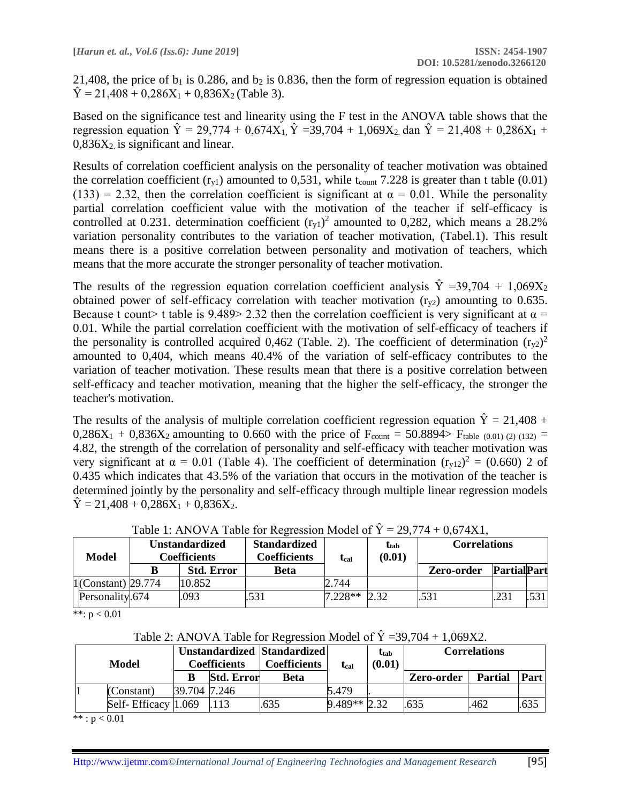21,408, the price of  $b_1$  is 0.286, and  $b_2$  is 0.836, then the form of regression equation is obtained  $\hat{Y} = 21.408 + 0.286X_1 + 0.836X_2$  (Table 3).

Based on the significance test and linearity using the F test in the ANOVA table shows that the regression equation  $\hat{Y} = 29.774 + 0.674X_1$ ,  $\hat{Y} = 39.704 + 1.069X_2$ , dan  $\hat{Y} = 21.408 + 0.286X_1 +$  $0,836X_2$  is significant and linear.

Results of correlation coefficient analysis on the personality of teacher motivation was obtained the correlation coefficient  $(r_{v1})$  amounted to 0,531, while t<sub>count</sub> 7.228 is greater than t table (0.01) (133) = 2.32, then the correlation coefficient is significant at  $\alpha = 0.01$ . While the personality partial correlation coefficient value with the motivation of the teacher if self-efficacy is controlled at 0.231. determination coefficient  $(r_{y1})^2$  amounted to 0,282, which means a 28.2% variation personality contributes to the variation of teacher motivation, (Tabel.1). This result means there is a positive correlation between personality and motivation of teachers, which means that the more accurate the stronger personality of teacher motivation.

The results of the regression equation correlation coefficient analysis  $\hat{Y} = 39,704 + 1,069X_2$ obtained power of self-efficacy correlation with teacher motivation  $(r_{v2})$  amounting to 0.635. Because t count> t table is 9.489> 2.32 then the correlation coefficient is very significant at  $\alpha$  = 0.01. While the partial correlation coefficient with the motivation of self-efficacy of teachers if the personality is controlled acquired 0,462 (Table. 2). The coefficient of determination  $(r_{y2})^2$ amounted to 0,404, which means 40.4% of the variation of self-efficacy contributes to the variation of teacher motivation. These results mean that there is a positive correlation between self-efficacy and teacher motivation, meaning that the higher the self-efficacy, the stronger the teacher's motivation.

The results of the analysis of multiple correlation coefficient regression equation  $\hat{Y} = 21,408 +$  $0,286X_1 + 0,836X_2$  amounting to 0.660 with the price of F<sub>count</sub> = 50.8894> F<sub>table (0.01)</sub> (2) (132) = 4.82, the strength of the correlation of personality and self-efficacy with teacher motivation was very significant at  $\alpha = 0.01$  (Table 4). The coefficient of determination  $(r_{y12})^2 = (0.660)$  2 of 0.435 which indicates that 43.5% of the variation that occurs in the motivation of the teacher is determined jointly by the personality and self-efficacy through multiple linear regression models  $\hat{Y} = 21,408 + 0,286X_1 + 0,836X_2$ .

| Unstandardized<br><b>Model</b><br>Coefficients |  | <b>Standardized</b><br>Coefficients | $\rm t_{cal}$ | ttab<br>(0.01) | <b>Correlations</b> |            |                    |      |
|------------------------------------------------|--|-------------------------------------|---------------|----------------|---------------------|------------|--------------------|------|
|                                                |  | <b>Std. Error</b>                   | <b>Beta</b>   |                |                     | Zero-order | <b>PartialPart</b> |      |
| $1$ (Constant) 29.774                          |  | 10.852                              |               | 2.744          |                     |            |                    |      |
| Personality.674                                |  | .093                                | .531          | $7.228**$      |                     | .531       |                    | .531 |

Table 1: ANOVA Table for Regression Model of  $\hat{Y} = 29,774 + 0,674X1$ ,

\*\*: p < 0.01

| Table 2: ANOVA Table for Regression Model of $\dot{Y} = 39,704 + 1,069X2$ . |  |  |  |
|-----------------------------------------------------------------------------|--|--|--|
|                                                                             |  |  |  |
|                                                                             |  |  |  |

| Model |                     | <b>Unstandardized Standardized</b><br>Coefficients |                   | <b>Coefficients</b> | $\mathbf{t}_{\mathrm{cal}}$ | Utab<br>(0.01) | Correlations |                |             |
|-------|---------------------|----------------------------------------------------|-------------------|---------------------|-----------------------------|----------------|--------------|----------------|-------------|
|       |                     |                                                    | <b>Std. Error</b> | Beta                |                             |                | Zero-order   | <b>Partial</b> | <b>Part</b> |
|       | (Constant)          | 39.704 7.246                                       |                   |                     | 5.479                       |                |              |                |             |
|       | Self-Efficacy 1.069 |                                                    |                   | .635                | $9.489**2.32$               |                | 635          | .462           | .635        |

 $***: p < 0.01$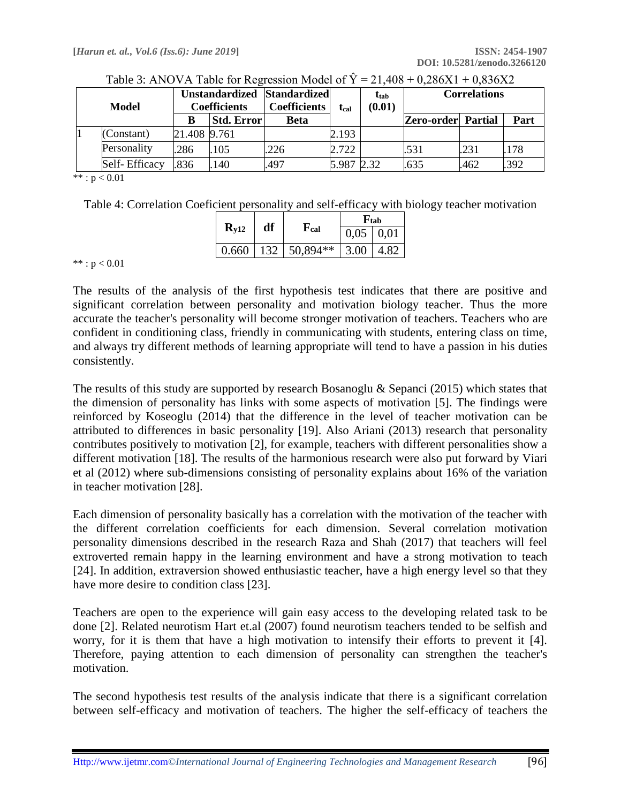| <b>Model</b> |               | Unstandardized Standardized<br><b>Coefficients</b> |                   | <b>Coefficients</b> | $t_{cal}$  | $t_{tab}$<br>(0.01) | <b>Correlations</b>       |      |      |
|--------------|---------------|----------------------------------------------------|-------------------|---------------------|------------|---------------------|---------------------------|------|------|
|              |               |                                                    | <b>Std. Error</b> | Beta                |            |                     | <b>Zero-order</b> Partial |      | Part |
|              | (Constant)    | 21.408 9.761                                       |                   |                     | 2.193      |                     |                           |      |      |
|              | Personality   | 286                                                | .105              | .226                | 2.722      |                     | .531                      | .231 | 178  |
|              | Self-Efficacy | 836                                                | .140              | .497                | 5.987 2.32 |                     | .635                      | .462 | .392 |

| Table 3: ANOVA Table for Regression Model of $\hat{Y} = 21,408 + 0,286X1 + 0,836X2$ |  |  |  |
|-------------------------------------------------------------------------------------|--|--|--|
|                                                                                     |  |  |  |

\*\* :  $p < 0.01$ 

Table 4: Correlation Coeficient personality and self-efficacy with biology teacher motivation

|           |    |                          | $\mathbf{F}_{\text{tab}}$ |      |  |
|-----------|----|--------------------------|---------------------------|------|--|
| $R_{V12}$ | df | ${\bf F_{cal}}$          | $0,05 \mid 0,01$          |      |  |
| 0.660     |    | $132 \mid 50,894** \mid$ | $\vert 3.00 \vert$        | 4.82 |  |

 $***: p < 0.01$ 

The results of the analysis of the first hypothesis test indicates that there are positive and significant correlation between personality and motivation biology teacher. Thus the more accurate the teacher's personality will become stronger motivation of teachers. Teachers who are confident in conditioning class, friendly in communicating with students, entering class on time, and always try different methods of learning appropriate will tend to have a passion in his duties consistently.

The results of this study are supported by research Bosanoglu & Sepanci (2015) which states that the dimension of personality has links with some aspects of motivation [5]. The findings were reinforced by Koseoglu (2014) that the difference in the level of teacher motivation can be attributed to differences in basic personality [19]. Also Ariani (2013) research that personality contributes positively to motivation [2], for example, teachers with different personalities show a different motivation [18]. The results of the harmonious research were also put forward by Viari et al (2012) where sub-dimensions consisting of personality explains about 16% of the variation in teacher motivation [28].

Each dimension of personality basically has a correlation with the motivation of the teacher with the different correlation coefficients for each dimension. Several correlation motivation personality dimensions described in the research Raza and Shah (2017) that teachers will feel extroverted remain happy in the learning environment and have a strong motivation to teach [24]. In addition, extraversion showed enthusiastic teacher, have a high energy level so that they have more desire to condition class [23].

Teachers are open to the experience will gain easy access to the developing related task to be done [2]. Related neurotism Hart et.al (2007) found neurotism teachers tended to be selfish and worry, for it is them that have a high motivation to intensify their efforts to prevent it [4]. Therefore, paying attention to each dimension of personality can strengthen the teacher's motivation.

The second hypothesis test results of the analysis indicate that there is a significant correlation between self-efficacy and motivation of teachers. The higher the self-efficacy of teachers the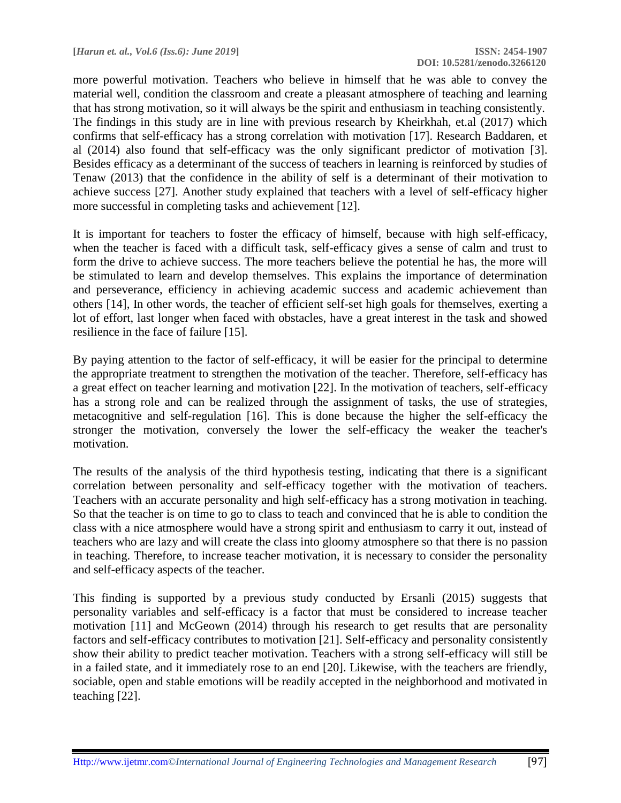**[***Harun et. al., Vol.6 (Iss.6): June 2019***] ISSN: 2454-1907**

more powerful motivation. Teachers who believe in himself that he was able to convey the material well, condition the classroom and create a pleasant atmosphere of teaching and learning that has strong motivation, so it will always be the spirit and enthusiasm in teaching consistently. The findings in this study are in line with previous research by Kheirkhah, et.al (2017) which confirms that self-efficacy has a strong correlation with motivation [17]. Research Baddaren, et al (2014) also found that self-efficacy was the only significant predictor of motivation [3]. Besides efficacy as a determinant of the success of teachers in learning is reinforced by studies of Tenaw (2013) that the confidence in the ability of self is a determinant of their motivation to achieve success [27]. Another study explained that teachers with a level of self-efficacy higher more successful in completing tasks and achievement [12].

It is important for teachers to foster the efficacy of himself, because with high self-efficacy, when the teacher is faced with a difficult task, self-efficacy gives a sense of calm and trust to form the drive to achieve success. The more teachers believe the potential he has, the more will be stimulated to learn and develop themselves. This explains the importance of determination and perseverance, efficiency in achieving academic success and academic achievement than others [14], In other words, the teacher of efficient self-set high goals for themselves, exerting a lot of effort, last longer when faced with obstacles, have a great interest in the task and showed resilience in the face of failure [15].

By paying attention to the factor of self-efficacy, it will be easier for the principal to determine the appropriate treatment to strengthen the motivation of the teacher. Therefore, self-efficacy has a great effect on teacher learning and motivation [22]. In the motivation of teachers, self-efficacy has a strong role and can be realized through the assignment of tasks, the use of strategies, metacognitive and self-regulation [16]. This is done because the higher the self-efficacy the stronger the motivation, conversely the lower the self-efficacy the weaker the teacher's motivation.

The results of the analysis of the third hypothesis testing, indicating that there is a significant correlation between personality and self-efficacy together with the motivation of teachers. Teachers with an accurate personality and high self-efficacy has a strong motivation in teaching. So that the teacher is on time to go to class to teach and convinced that he is able to condition the class with a nice atmosphere would have a strong spirit and enthusiasm to carry it out, instead of teachers who are lazy and will create the class into gloomy atmosphere so that there is no passion in teaching. Therefore, to increase teacher motivation, it is necessary to consider the personality and self-efficacy aspects of the teacher.

This finding is supported by a previous study conducted by Ersanli (2015) suggests that personality variables and self-efficacy is a factor that must be considered to increase teacher motivation [11] and McGeown (2014) through his research to get results that are personality factors and self-efficacy contributes to motivation [21]. Self-efficacy and personality consistently show their ability to predict teacher motivation. Teachers with a strong self-efficacy will still be in a failed state, and it immediately rose to an end [20]. Likewise, with the teachers are friendly, sociable, open and stable emotions will be readily accepted in the neighborhood and motivated in teaching [22].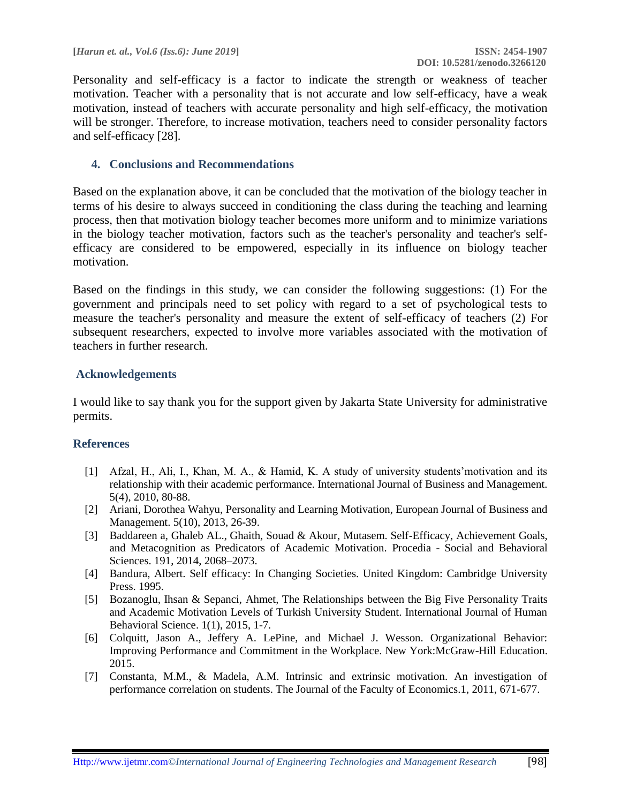Personality and self-efficacy is a factor to indicate the strength or weakness of teacher motivation. Teacher with a personality that is not accurate and low self-efficacy, have a weak motivation, instead of teachers with accurate personality and high self-efficacy, the motivation will be stronger. Therefore, to increase motivation, teachers need to consider personality factors and self-efficacy [28].

## **4. Conclusions and Recommendations**

Based on the explanation above, it can be concluded that the motivation of the biology teacher in terms of his desire to always succeed in conditioning the class during the teaching and learning process, then that motivation biology teacher becomes more uniform and to minimize variations in the biology teacher motivation, factors such as the teacher's personality and teacher's selfefficacy are considered to be empowered, especially in its influence on biology teacher motivation.

Based on the findings in this study, we can consider the following suggestions: (1) For the government and principals need to set policy with regard to a set of psychological tests to measure the teacher's personality and measure the extent of self-efficacy of teachers (2) For subsequent researchers, expected to involve more variables associated with the motivation of teachers in further research.

### **Acknowledgements**

I would like to say thank you for the support given by Jakarta State University for administrative permits.

### **References**

- [1] Afzal, H., Ali, I., Khan, M. A., & Hamid, K. A study of university students'motivation and its relationship with their academic performance. International Journal of Business and Management. 5(4), 2010, 80-88.
- [2] Ariani, Dorothea Wahyu, Personality and Learning Motivation, European Journal of Business and Management. 5(10), 2013, 26-39.
- [3] Baddareen a, Ghaleb AL., Ghaith, Souad & Akour, Mutasem. Self-Efficacy, Achievement Goals, and Metacognition as Predicators of Academic Motivation. Procedia - Social and Behavioral Sciences. 191, 2014, 2068–2073.
- [4] Bandura, Albert. Self efficacy: In Changing Societies. United Kingdom: Cambridge University Press. 1995.
- [5] Bozanoglu, Ihsan & Sepanci, Ahmet, The Relationships between the Big Five Personality Traits and Academic Motivation Levels of Turkish University Student. International Journal of Human Behavioral Science. 1(1), 2015, 1-7.
- [6] Colquitt, Jason A., Jeffery A. LePine, and Michael J. Wesson. Organizational Behavior: Improving Performance and Commitment in the Workplace. New York:McGraw-Hill Education. 2015.
- [7] Constanta, M.M., & Madela, A.M. Intrinsic and extrinsic motivation. An investigation of performance correlation on students. The Journal of the Faculty of Economics.1, 2011, 671-677.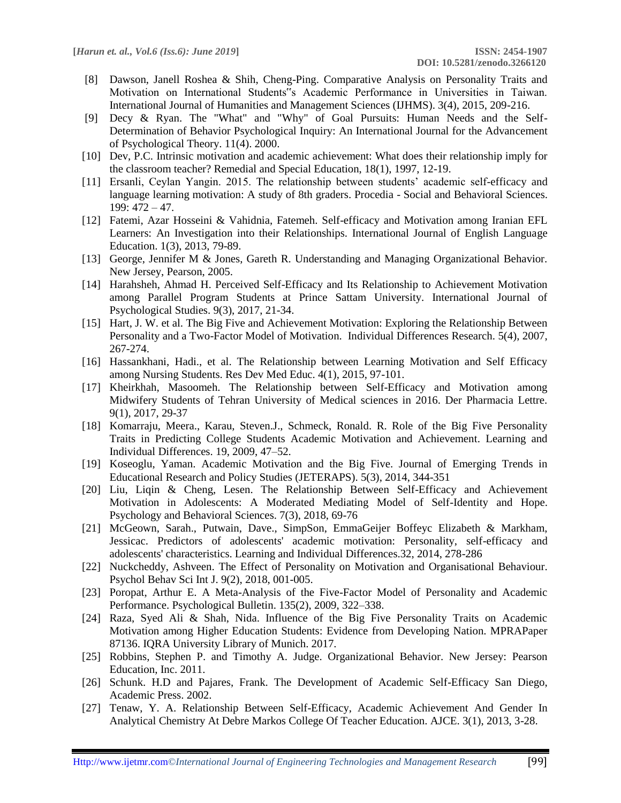- [8] Dawson, Janell Roshea & Shih, Cheng-Ping. Comparative Analysis on Personality Traits and Motivation on International Students"s Academic Performance in Universities in Taiwan. International Journal of Humanities and Management Sciences (IJHMS). 3(4), 2015, 209-216.
- [9] Decy & Ryan. The "What" and "Why" of Goal Pursuits: Human Needs and the Self-Determination of Behavior Psychological Inquiry: An International Journal for the Advancement of Psychological Theory. 11(4). 2000.
- [10] Dev, P.C. Intrinsic motivation and academic achievement: What does their relationship imply for the classroom teacher? Remedial and Special Education, 18(1), 1997, 12-19.
- [11] Ersanli, Ceylan Yangin. 2015. The relationship between students' academic self-efficacy and language learning motivation: A study of 8th graders. Procedia - Social and Behavioral Sciences. 199: 472 – 47.
- [12] Fatemi, Azar Hosseini & Vahidnia, Fatemeh. Self-efficacy and Motivation among Iranian EFL Learners: An Investigation into their Relationships. International Journal of English Language Education. 1(3), 2013, 79-89.
- [13] George, Jennifer M & Jones, Gareth R. Understanding and Managing Organizational Behavior. New Jersey, Pearson, 2005.
- [14] Harahsheh, Ahmad H. Perceived Self-Efficacy and Its Relationship to Achievement Motivation among Parallel Program Students at Prince Sattam University. International Journal of Psychological Studies. 9(3), 2017, 21-34.
- [15] Hart, J. W. et al. The Big Five and Achievement Motivation: Exploring the Relationship Between Personality and a Two-Factor Model of Motivation. Individual Differences Research. 5(4), 2007, 267-274.
- [16] Hassankhani, Hadi., et al. The Relationship between Learning Motivation and Self Efficacy among Nursing Students. Res Dev Med Educ. 4(1), 2015, 97-101.
- [17] Kheirkhah, Masoomeh. The Relationship between Self-Efficacy and Motivation among Midwifery Students of Tehran University of Medical sciences in 2016. Der Pharmacia Lettre. 9(1), 2017, 29-37
- [18] Komarraju, Meera., Karau, Steven.J., Schmeck, Ronald. R. Role of the Big Five Personality Traits in Predicting College Students Academic Motivation and Achievement. Learning and Individual Differences. 19, 2009, 47–52.
- [19] Koseoglu, Yaman. Academic Motivation and the Big Five. Journal of Emerging Trends in Educational Research and Policy Studies (JETERAPS). 5(3), 2014, 344-351
- [20] Liu, Liqin & Cheng, Lesen. The Relationship Between Self-Efficacy and Achievement Motivation in Adolescents: A Moderated Mediating Model of Self-Identity and Hope. Psychology and Behavioral Sciences. 7(3), 2018, 69-76
- [21] McGeown, Sarah., Putwain, Dave., SimpSon, EmmaGeijer Boffeyc Elizabeth & Markham, Jessicac. Predictors of adolescents' academic motivation: Personality, self-efficacy and adolescents' characteristics. Learning and Individual Differences.32, 2014, 278-286
- [22] Nuckcheddy, Ashveen. The Effect of Personality on Motivation and Organisational Behaviour. Psychol Behav Sci Int J. 9(2), 2018, 001-005.
- [23] Poropat, Arthur E. A Meta-Analysis of the Five-Factor Model of Personality and Academic Performance. Psychological Bulletin. 135(2), 2009, 322–338.
- [24] Raza, Syed Ali & Shah, Nida. Influence of the Big Five Personality Traits on Academic Motivation among Higher Education Students: Evidence from Developing Nation. MPRAPaper 87136. IQRA University Library of Munich. 2017.
- [25] Robbins, Stephen P. and Timothy A. Judge. Organizational Behavior. New Jersey: Pearson Education, Inc. 2011.
- [26] Schunk. H.D and Pajares, Frank. The Development of Academic Self-Efficacy San Diego, Academic Press. 2002.
- [27] Tenaw, Y. A. Relationship Between Self-Efficacy, Academic Achievement And Gender In Analytical Chemistry At Debre Markos College Of Teacher Education. AJCE. 3(1), 2013, 3-28.